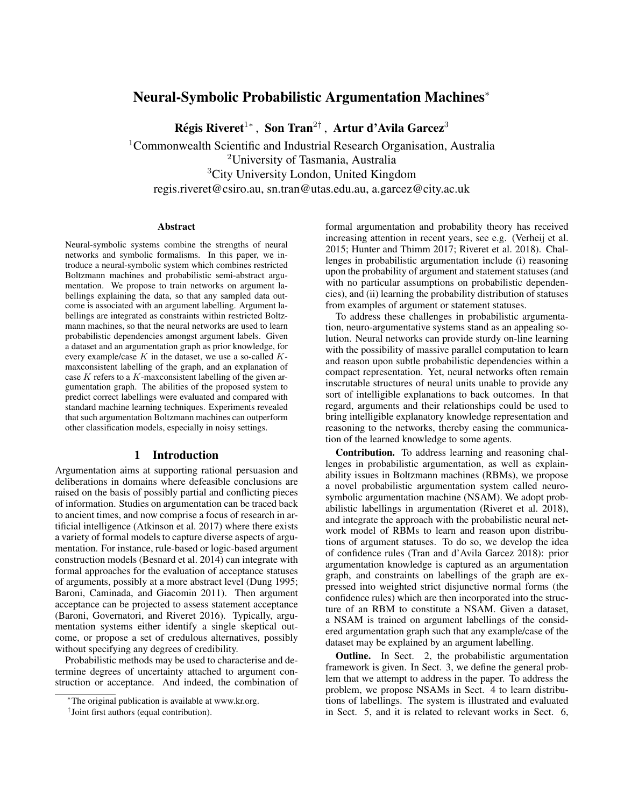# Neural-Symbolic Probabilistic Argumentation Machines<sup>∗</sup>

Régis Riveret<sup>1</sup>\*, Son Tran<sup>2†</sup>, Artur d'Avila Garcez<sup>3</sup>

<sup>1</sup>Commonwealth Scientific and Industrial Research Organisation, Australia <sup>2</sup>University of Tasmania, Australia <sup>3</sup>City University London, United Kingdom regis.riveret@csiro.au, sn.tran@utas.edu.au, a.garcez@city.ac.uk

#### Abstract

Neural-symbolic systems combine the strengths of neural networks and symbolic formalisms. In this paper, we introduce a neural-symbolic system which combines restricted Boltzmann machines and probabilistic semi-abstract argumentation. We propose to train networks on argument labellings explaining the data, so that any sampled data outcome is associated with an argument labelling. Argument labellings are integrated as constraints within restricted Boltzmann machines, so that the neural networks are used to learn probabilistic dependencies amongst argument labels. Given a dataset and an argumentation graph as prior knowledge, for every example/case  $K$  in the dataset, we use a so-called  $K$ maxconsistent labelling of the graph, and an explanation of case  $K$  refers to a  $K$ -maxconsistent labelling of the given argumentation graph. The abilities of the proposed system to predict correct labellings were evaluated and compared with standard machine learning techniques. Experiments revealed that such argumentation Boltzmann machines can outperform other classification models, especially in noisy settings.

### 1 Introduction

Argumentation aims at supporting rational persuasion and deliberations in domains where defeasible conclusions are raised on the basis of possibly partial and conflicting pieces of information. Studies on argumentation can be traced back to ancient times, and now comprise a focus of research in artificial intelligence [\(Atkinson et al. 2017\)](#page-9-0) where there exists a variety of formal models to capture diverse aspects of argumentation. For instance, rule-based or logic-based argument construction models [\(Besnard et al. 2014\)](#page-9-1) can integrate with formal approaches for the evaluation of acceptance statuses of arguments, possibly at a more abstract level [\(Dung 1995;](#page-9-2) [Baroni, Caminada, and Giacomin 2011\)](#page-9-3). Then argument acceptance can be projected to assess statement acceptance [\(Baroni, Governatori, and Riveret 2016\)](#page-9-4). Typically, argumentation systems either identify a single skeptical outcome, or propose a set of credulous alternatives, possibly without specifying any degrees of credibility.

Probabilistic methods may be used to characterise and determine degrees of uncertainty attached to argument construction or acceptance. And indeed, the combination of formal argumentation and probability theory has received increasing attention in recent years, see e.g. [\(Verheij et al.](#page-10-0) [2015;](#page-10-0) [Hunter and Thimm 2017;](#page-9-5) [Riveret et al. 2018\)](#page-10-1). Challenges in probabilistic argumentation include (i) reasoning upon the probability of argument and statement statuses (and with no particular assumptions on probabilistic dependencies), and (ii) learning the probability distribution of statuses from examples of argument or statement statuses.

To address these challenges in probabilistic argumentation, neuro-argumentative systems stand as an appealing solution. Neural networks can provide sturdy on-line learning with the possibility of massive parallel computation to learn and reason upon subtle probabilistic dependencies within a compact representation. Yet, neural networks often remain inscrutable structures of neural units unable to provide any sort of intelligible explanations to back outcomes. In that regard, arguments and their relationships could be used to bring intelligible explanatory knowledge representation and reasoning to the networks, thereby easing the communication of the learned knowledge to some agents.

Contribution. To address learning and reasoning challenges in probabilistic argumentation, as well as explainability issues in Boltzmann machines (RBMs), we propose a novel probabilistic argumentation system called neurosymbolic argumentation machine (NSAM). We adopt probabilistic labellings in argumentation [\(Riveret et al. 2018\)](#page-10-1), and integrate the approach with the probabilistic neural network model of RBMs to learn and reason upon distributions of argument statuses. To do so, we develop the idea of confidence rules [\(Tran and d'Avila Garcez 2018\)](#page-10-2): prior argumentation knowledge is captured as an argumentation graph, and constraints on labellings of the graph are expressed into weighted strict disjunctive normal forms (the confidence rules) which are then incorporated into the structure of an RBM to constitute a NSAM. Given a dataset, a NSAM is trained on argument labellings of the considered argumentation graph such that any example/case of the dataset may be explained by an argument labelling.

Outline. In Sect. [2,](#page-1-0) the probabilistic argumentation framework is given. In Sect. [3,](#page-3-0) we define the general problem that we attempt to address in the paper. To address the problem, we propose NSAMs in Sect. [4](#page-3-1) to learn distributions of labellings. The system is illustrated and evaluated in Sect. [5,](#page-6-0) and it is related to relevant works in Sect. [6,](#page-7-0)

<sup>∗</sup>The original publication is available at www.kr.org.

<sup>†</sup> Joint first authors (equal contribution).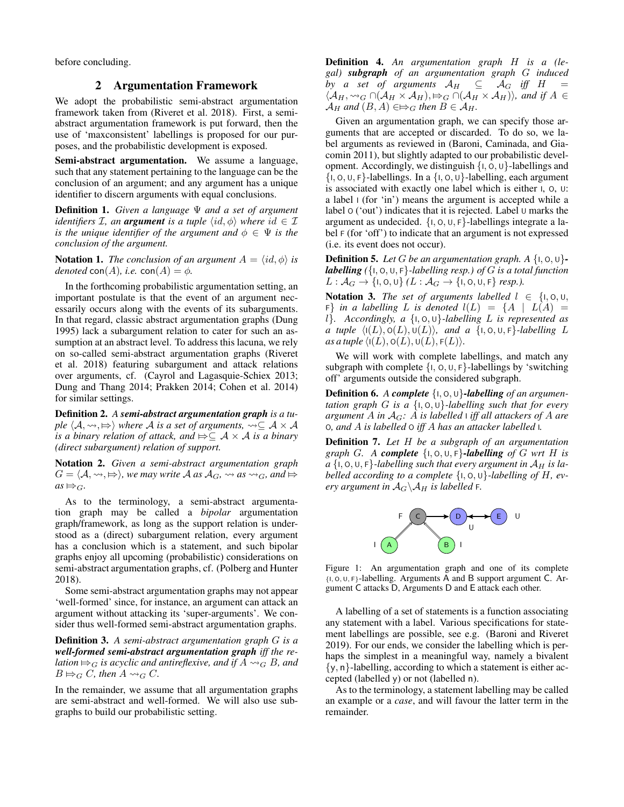<span id="page-1-0"></span>before concluding.

#### 2 Argumentation Framework

We adopt the probabilistic semi-abstract argumentation framework taken from [\(Riveret et al. 2018\)](#page-10-1). First, a semiabstract argumentation framework is put forward, then the use of 'maxconsistent' labellings is proposed for our purposes, and the probabilistic development is exposed.

Semi-abstract argumentation. We assume a language, such that any statement pertaining to the language can be the conclusion of an argument; and any argument has a unique identifier to discern arguments with equal conclusions.

Definition 1. *Given a language* Ψ *and a set of argument identifiers*  $I$ *, an argument is a tuple*  $\langle id, \phi \rangle$  *where*  $id \in I$ *is the unique identifier of the argument and*  $\phi \in \Psi$  *is the conclusion of the argument.*

**Notation 1.** *The conclusion of an argument*  $A = \langle id, \phi \rangle$  *is denoted* con(A), *i.e.* con(A) =  $\phi$ .

In the forthcoming probabilistic argumentation setting, an important postulate is that the event of an argument necessarily occurs along with the events of its subarguments. In that regard, classic abstract argumentation graphs [\(Dung](#page-9-2) [1995\)](#page-9-2) lack a subargument relation to cater for such an assumption at an abstract level. To address this lacuna, we rely on so-called semi-abstract argumentation graphs [\(Riveret](#page-10-1) [et al. 2018\)](#page-10-1) featuring subargument and attack relations over arguments, cf. [\(Cayrol and Lagasquie-Schiex 2013;](#page-9-6) [Dung and Thang 2014;](#page-9-7) [Prakken 2014;](#page-9-8) [Cohen et al. 2014\)](#page-9-9) for similar settings.

Definition 2. *A semi-abstract argumentation graph is a tuple*  $\langle A, \leadsto, \Rightarrow \rangle$  *where* A *is a set of arguments,*  $\leadsto \subseteq A \times A$ *is a binary relation of attack, and*  $\Rightarrow \subseteq A \times A$  *is a binary (direct subargument) relation of support.*

Notation 2. *Given a semi-abstract argumentation graph*  $G = \langle A, \leadsto, \Rightarrow \rangle$ , we may write A as  $A_G, \leadsto as \leadsto_G$ , and  $\Rightarrow$  $as \mapsto_G$ .

As to the terminology, a semi-abstract argumentation graph may be called a *bipolar* argumentation graph/framework, as long as the support relation is understood as a (direct) subargument relation, every argument has a conclusion which is a statement, and such bipolar graphs enjoy all upcoming (probabilistic) considerations on semi-abstract argumentation graphs, cf. [\(Polberg and Hunter](#page-9-10) [2018\)](#page-9-10).

Some semi-abstract argumentation graphs may not appear 'well-formed' since, for instance, an argument can attack an argument without attacking its 'super-arguments'. We consider thus well-formed semi-abstract argumentation graphs.

Definition 3. *A semi-abstract argumentation graph* G *is a well-formed semi-abstract argumentation graph iff the relation*  $\Rightarrow_G$  *is acyclic and antireflexive, and if*  $\overrightarrow{A} \rightsquigarrow_G B$ *, and*  $B \rightrightarrows_G C$ , then  $A \rightsquigarrow_G C$ .

In the remainder, we assume that all argumentation graphs are semi-abstract and well-formed. We will also use subgraphs to build our probabilistic setting.

Definition 4. *An argumentation graph* H *is a (legal) subgraph of an argumentation graph* G *induced by a set of arguments*  $A_H \subseteq A_G$  *iff*  $H =$  $\langle A_H, \leadsto_G \cap (A_H \times A_H), \mapsto_G \cap (A_H \times A_H) \rangle$ *, and if*  $A \in$  $\mathcal{A}_H$  and  $(B, A) \in \nArr_G$  then  $B \in \mathcal{A}_H$ .

Given an argumentation graph, we can specify those arguments that are accepted or discarded. To do so, we label arguments as reviewed in [\(Baroni, Caminada, and Gia](#page-9-3)[comin 2011\)](#page-9-3), but slightly adapted to our probabilistic development. Accordingly, we distinguish  $\{1, 0, 0\}$ -labellings and  $\{1, 0, 0, F\}$ -labellings. In a  $\{1, 0, 0\}$ -labelling, each argument is associated with exactly one label which is either I, O, U: a label I (for 'in') means the argument is accepted while a label O ('out') indicates that it is rejected. Label U marks the argument as undecided.  $\{I, O, U, F\}$ -labellings integrate a label F (for 'off') to indicate that an argument is not expressed (i.e. its event does not occur).

**Definition 5.** Let G be an argumentation graph. A  $\{1, 0, 0\}$ *labelling (*{I, O, U, F}*-labelling resp.) of* G *is a total function*  $L : \mathcal{A}_G \to \{1, 0, 0\}$   $(L : \mathcal{A}_G \to \{1, 0, 0, F\}$  *resp.*).

Notation 3. *The set of arguments labelled*  $l \in \{1, 0, \dots, n\}$  $F\}$  *in a labelling L is denoted*  $l(L) = \{A \mid L(A) = \}$ l}*. Accordingly, a* {I, O, U}*-labelling* L *is represented as a tuple*  $\langle I(L), O(L), U(L) \rangle$ *, and a*  $\{I, O, U, F\}$ *-labelling* L *as a tuple*  $\langle I(L), O(L), U(L), F(L) \rangle$ *.* 

We will work with complete labellings, and match any subgraph with complete  $\{I, O, U, F\}$ -labellings by 'switching off' arguments outside the considered subgraph.

Definition 6. *A complete* {I, O, U}*-labelling of an argumentation graph* G *is a* {I, O, U}*-labelling such that for every argument* A *in* AG*:* A *is labelled* <sup>I</sup> *iff all attackers of* A *are* O*, and* A *is labelled* O *iff* A *has an attacker labelled* I*.*

Definition 7. *Let* H *be a subgraph of an argumentation graph* G. A *complete*  $\{1, 0, 0, F\}$ -labelling of G wrt H is  $a \{1, 0, 0, F\}$ -labelling such that every argument in  $A_H$  is la*belled according to a complete* {I, O, U}*-labelling of* H*, every argument in*  $A_G \backslash A_H$  *is labelled* F.

<span id="page-1-1"></span>

Figure 1: An argumentation graph and one of its complete {I, <sup>O</sup>, <sup>U</sup>, <sup>F</sup>}-labelling. Arguments A and B support argument C. Argument C attacks D, Arguments D and E attack each other.

A labelling of a set of statements is a function associating any statement with a label. Various specifications for statement labellings are possible, see e.g. [\(Baroni and Riveret](#page-9-11) [2019\)](#page-9-11). For our ends, we consider the labelling which is perhaps the simplest in a meaningful way, namely a bivalent  $\{y, n\}$ -labelling, according to which a statement is either accepted (labelled y) or not (labelled n).

As to the terminology, a statement labelling may be called an example or a *case*, and will favour the latter term in the remainder.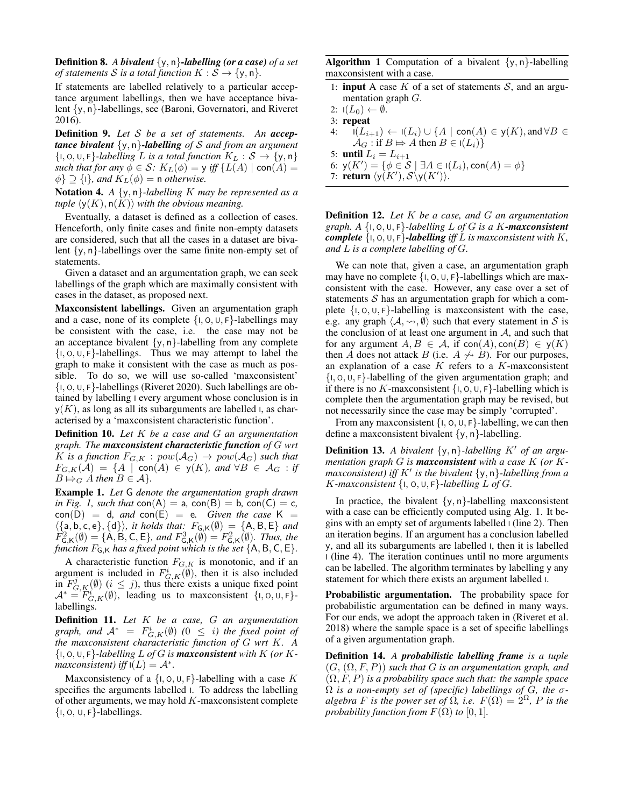Definition 8. *A bivalent* {y, n}*-labelling (or a case) of a set of statements S is a total function*  $K : S \rightarrow \{y, n\}.$ 

If statements are labelled relatively to a particular acceptance argument labellings, then we have acceptance bivalent {y, n}-labellings, see [\(Baroni, Governatori, and Riveret](#page-9-4) [2016\)](#page-9-4).

Definition 9. *Let* S *be a set of statements. An acceptance bivalent* {y, n}*-labelling of* S *and from an argument*  $\{I, O, U, F\}$ *-labelling L is a total function*  $K_L : S \rightarrow \{y, n\}$ *such that for any*  $\phi \in \mathcal{S}$ :  $K_L(\phi) = y$  *iff*  $\{L(A) \mid \text{con}(A) =$  $\{\phi\} \supseteq \{1\}$ *, and*  $K_L(\phi) = n$  *otherwise.* 

Notation 4. *A* {y, n}*-labelling* K *may be represented as a tuple*  $\langle \gamma(K), \eta(K) \rangle$  *with the obvious meaning.* 

Eventually, a dataset is defined as a collection of cases. Henceforth, only finite cases and finite non-empty datasets are considered, such that all the cases in a dataset are bivalent  $\{y, n\}$ -labellings over the same finite non-empty set of statements.

Given a dataset and an argumentation graph, we can seek labellings of the graph which are maximally consistent with cases in the dataset, as proposed next.

Maxconsistent labellings. Given an argumentation graph and a case, none of its complete  $\{1, 0, 0, F\}$ -labellings may be consistent with the case, i.e. the case may not be an acceptance bivalent  $\{y, n\}$ -labelling from any complete  $\{1, 0, 0, F\}$ -labellings. Thus we may attempt to label the graph to make it consistent with the case as much as possible. To do so, we will use so-called 'maxconsistent'  $\{1, 0, 0, F\}$ -labellings [\(Riveret 2020\)](#page-10-3). Such labellings are obtained by labelling I every argument whose conclusion is in  $y(K)$ , as long as all its subarguments are labelled I, as characterised by a 'maxconsistent characteristic function'.

Definition 10. *Let* K *be a case and* G *an argumentation graph. The maxconsistent characteristic function of* G *wrt* K is a function  $F_{G,K} : pow(\mathcal{A}_G) \rightarrow pow(\mathcal{A}_G)$  such that  $F_{G,K}(\mathcal{A}) = \{A \mid \text{con}(A) \in y(K), \text{ and } \forall B \in \mathcal{A}_G : \text{if}$  $B \mapsto_G A$  *then*  $B \in \mathcal{A}$ *}*.

Example 1. *Let* G *denote the argumentation graph drawn in Fig. 1, such that*  $con(A) = a$ *,*  $con(B) = b$ *,*  $con(C) = c$ *,*  $con(D) = d$ , and  $con(E) = e$ . Given the case  $K =$  $\langle \{a, b, c, e\}, \{d\}\rangle$ *, it holds that:*  $F_{\mathsf{G},\mathsf{K}}(\emptyset) = \{\mathsf{A},\mathsf{B},\mathsf{E}\}\$  *and*  $F_{\mathsf{G},\mathsf{K}}^2(\emptyset) = \{\mathsf{A},\mathsf{B},\mathsf{C},\mathsf{E}\}$ *, and*  $F_{\mathsf{G},\mathsf{K}}^3(\emptyset) = F_{\mathsf{G},\mathsf{K}}^2(\emptyset)$ *. Thus, the function*  $F_{\mathsf{G},\mathsf{K}}$  *has a fixed point which is the set*  $\{\mathsf{A},\mathsf{B},\mathsf{C},\mathsf{E}\}.$ 

A characteristic function  $F_{G,K}$  is monotonic, and if an argument is included in  $F_{G,K}^i(\emptyset)$ , then it is also included in  $F_{G,K}^{j}(\emptyset)$   $(i \leq j)$ , thus there exists a unique fixed point  $\mathcal{A}^* = \widetilde{F}_{G,K}^i(\emptyset)$ , leading us to maxconsistent {1,0, U, F}labellings.

Definition 11. *Let* K *be a case,* G *an argumentation graph, and*  $\mathcal{A}^*$  =  $F^i_{G,K}(\emptyset)$  (0  $\leq$  *i*) the fixed point of *the maxconsistent characteristic function of* G *wrt* K*. A*  $\{I, O, U, F\}$ *-labelling*  $L$  *of*  $G$  *is maxconsistent with*  $K$  (*or*  $K$  $maxconsistent)$  *iff*  $I(L) = A^*$ .

Maxconsistency of a  $\{1, 0, 0, F\}$ -labelling with a case K specifies the arguments labelled I. To address the labelling of other arguments, we may hold  $K$ -maxconsistent complete  $\{I, O, U, F\}$ -labellings.

**Algorithm 1** Computation of a bivalent  $\{y, n\}$ -labelling maxconsistent with a case.

- 1: **input** A case  $K$  of a set of statements  $S$ , and an argumentation graph  $G$ .
- 2:  $I(L_0) \leftarrow \emptyset$ .
- 3: repeat
- 4:  $I(L_{i+1}) \leftarrow I(L_i) \cup \{A \mid \textsf{con}(A) \in \mathsf{y}(K), \textsf{and} \forall B \in \mathsf{y}(K)\}$  $\mathcal{A}_G$ : if  $B \mapsto A$  then  $B \in I(L_i)$
- 5: **until**  $L_i = L_{i+1}$
- 6:  $y(K') = \{ \phi \in \mathcal{S} \mid \exists A \in I(L_i), \text{con}(A) = \phi \}$

<span id="page-2-0"></span>7: return  $\langle y(K'), S \backslash y(K') \rangle$ .

Definition 12. *Let* K *be a case, and* G *an argumentation graph. A* {I, O, U, F}*-labelling* L *of* G *is a* K*-maxconsistent complete*  $\{1, 0, 0, F\}$ -labelling *iff* L *is maxconsistent with* K, *and* L *is a complete labelling of* G*.*

We can note that, given a case, an argumentation graph may have no complete  $\{1, 0, 0, F\}$ -labellings which are maxconsistent with the case. However, any case over a set of statements  $S$  has an argumentation graph for which a complete  $\{1, 0, 0, F\}$ -labelling is maxconsistent with the case, e.g. any graph  $\langle A, \leadsto, \emptyset \rangle$  such that every statement in S is the conclusion of at least one argument in  $A$ , and such that for any argument  $A, B \in \mathcal{A}$ , if  $con(A), con(B) \in y(K)$ then A does not attack B (i.e.  $A \nleftrightarrow B$ ). For our purposes, an explanation of a case  $K$  refers to a  $K$ -maxconsistent  $\{I, O, U, F\}$ -labelling of the given argumentation graph; and if there is no K-maxconsistent  $\{1, 0, 0, F\}$ -labelling which is complete then the argumentation graph may be revised, but not necessarily since the case may be simply 'corrupted'.

From any max consistent  $\{1, 0, 0, F\}$ -labelling, we can then define a maxconsistent bivalent  $\{y, n\}$ -labelling.

**Definition 13.** A bivalent  $\{y, n\}$ -labelling K' of an argu*mentation graph* G *is maxconsistent with a case* K *(or* Kmaxconsistent) iff K' is the bivalent  $\{y, n\}$ -labelling from a K-maxconsistent  $\{I, O, U, F\}$ -labelling L of G.

In practice, the bivalent  $\{y, n\}$ -labelling maxconsistent with a case can be efficiently computed using Alg. [1.](#page-2-0) It begins with an empty set of arguments labelled I (line 2). Then an iteration begins. If an argument has a conclusion labelled y, and all its subarguments are labelled I, then it is labelled I (line 4). The iteration continues until no more arguments can be labelled. The algorithm terminates by labelling y any statement for which there exists an argument labelled I.

Probabilistic argumentation. The probability space for probabilistic argumentation can be defined in many ways. For our ends, we adopt the approach taken in [\(Riveret et al.](#page-10-1) [2018\)](#page-10-1) where the sample space is a set of specific labellings of a given argumentation graph.

Definition 14. *A probabilistic labelling frame is a tuple* (G, (Ω, F, P)) *such that* G *is an argumentation graph, and*  $(\Omega, F, P)$  *is a probability space such that: the sample space*  $\Omega$  *is a non-empty set of (specific) labellings of G, the*  $\sigma$ *algebra* F *is the power set of*  $\Omega$ *, i.e.*  $F(\Omega) = 2^{\Omega}$ *, P is the probability function from*  $F(\Omega)$  *to* [0, 1]*.*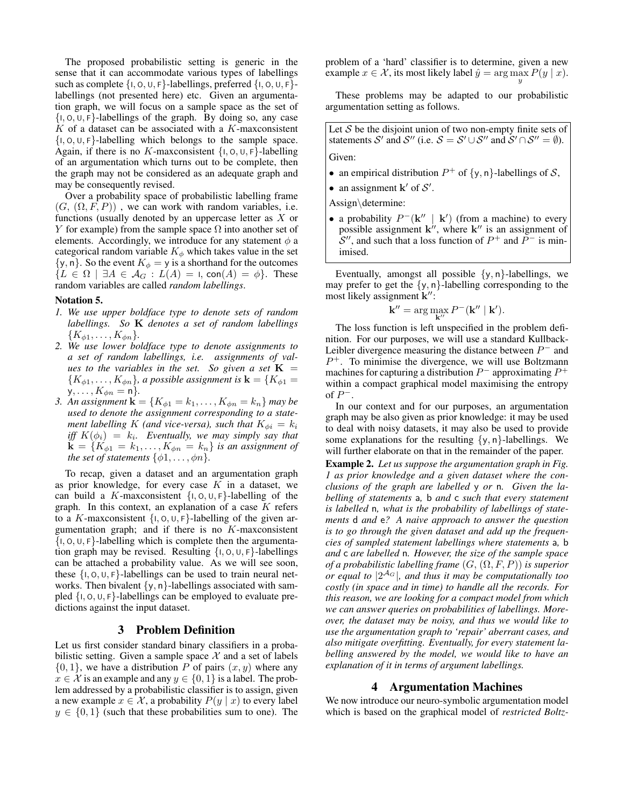The proposed probabilistic setting is generic in the sense that it can accommodate various types of labellings such as complete  $\{1, 0, 0, F\}$ -labellings, preferred  $\{1, 0, 0, F\}$ labellings (not presented here) etc. Given an argumentation graph, we will focus on a sample space as the set of  $\{1, 0, 0, F\}$ -labellings of the graph. By doing so, any case  $K$  of a dataset can be associated with a  $K$ -maxconsistent  $\{1, 0, 0, F\}$ -labelling which belongs to the sample space. Again, if there is no K-max consistent  $\{1, 0, 0, F\}$ -labelling of an argumentation which turns out to be complete, then the graph may not be considered as an adequate graph and may be consequently revised.

Over a probability space of probabilistic labelling frame  $(G, (\Omega, F, P))$ , we can work with random variables, i.e. functions (usually denoted by an uppercase letter as  $X$  or Y for example) from the sample space  $\Omega$  into another set of elements. Accordingly, we introduce for any statement  $\phi$  a categorical random variable  $K_{\phi}$  which takes value in the set  $\{y, n\}$ . So the event  $K_{\phi} = y$  is a shorthand for the outcomes  ${L \in \Omega \mid \exists A \in \mathcal{A}_G : L(A) = I, \text{con}(A) = \phi}.$  These random variables are called *random labellings*.

#### Notation 5.

- *1. We use upper boldface type to denote sets of random labellings. So* K *denotes a set of random labellings*  $\{K_{\phi 1}, \ldots, K_{\phi n}\}.$
- *2. We use lower boldface type to denote assignments to a set of random labellings, i.e. assignments of values to the variables in the set. So given a set*  $K =$  ${K_{\phi 1}, \ldots, K_{\phi n}}$ *, a possible assignment is*  $\mathbf{k} = {K_{\phi 1}} =$  $y, \ldots, K_{\phi n} = n$ *.*
- *3. An assignment*  $\mathbf{k} = \{K_{\phi 1} = k_1, ..., K_{\phi n} = k_n\}$  *may be used to denote the assignment corresponding to a statement labelling* K *(and vice-versa), such that*  $K_{\phi i} = k_i$ *iff*  $K(\phi_i) = k_i$ . Eventually, we may simply say that  $\mathbf{k} = \{K_{\phi 1} = k_1, \ldots, K_{\phi n} = k_n\}$  is an assignment of *the set of statements*  $\{\phi 1, \ldots, \phi n\}$ *.*

To recap, given a dataset and an argumentation graph as prior knowledge, for every case  $K$  in a dataset, we can build a K-max consistent  $\{1, 0, 0, F\}$ -labelling of the graph. In this context, an explanation of a case  $K$  refers to a K-max consistent  $\{1, 0, 0, F\}$ -labelling of the given argumentation graph; and if there is no  $K$ -maxconsistent  $\{1, 0, 0, F\}$ -labelling which is complete then the argumentation graph may be revised. Resulting  $\{1, 0, 0, F\}$ -labellings can be attached a probability value. As we will see soon, these  $\{1, 0, 0, F\}$ -labellings can be used to train neural networks. Then bivalent  $\{y, n\}$ -labellings associated with sampled  $\{1, 0, 0, F\}$ -labellings can be employed to evaluate predictions against the input dataset.

### 3 Problem Definition

<span id="page-3-0"></span>Let us first consider standard binary classifiers in a probabilistic setting. Given a sample space  $X$  and a set of labels  $\{0, 1\}$ , we have a distribution P of pairs  $(x, y)$  where any  $x \in \mathcal{X}$  is an example and any  $y \in \{0, 1\}$  is a label. The problem addressed by a probabilistic classifier is to assign, given a new example  $x \in \mathcal{X}$ , a probability  $P(y | x)$  to every label  $y \in \{0, 1\}$  (such that these probabilities sum to one). The

problem of a 'hard' classifier is to determine, given a new example  $x \in \mathcal{X}$ , its most likely label  $\hat{y} = \arg \max_{y} P(y | x)$ .

These problems may be adapted to our probabilistic argumentation setting as follows.

Let  $S$  be the disjoint union of two non-empty finite sets of statements S' and S" (i.e.  $S = S' \cup S''$  and  $S' \cap S'' = \emptyset$ ). Given:

- an empirical distribution  $P^+$  of  $\{y, n\}$ -labellings of S,
- an assignment  $\mathbf{k}'$  of  $\mathcal{S}'$ .

Assign\determine:

• a probability  $P^-(\mathbf{k}'' | \mathbf{k}')$  (from a machine) to every possible assignment  $k''$ , where  $k''$  is an assignment of  $\mathcal{S}''$ , and such that a loss function of  $P^+$  and  $P^-$  is minimised.

Eventually, amongst all possible  $\{y, n\}$ -labellings, we may prefer to get the  $\{y, n\}$ -labelling corresponding to the most likely assignment k":

$$
\mathbf{k}'' = \arg\max_{\mathbf{k}''} P^{-}(\mathbf{k}'' | \mathbf{k}').
$$

The loss function is left unspecified in the problem definition. For our purposes, we will use a standard Kullback-Leibler divergence measuring the distance between  $P^-$  and  $P^+$ . To minimise the divergence, we will use Boltzmann machines for capturing a distribution  $P^-$  approximating  $P^+$ within a compact graphical model maximising the entropy of  $P^-$ .

In our context and for our purposes, an argumentation graph may be also given as prior knowledge: it may be used to deal with noisy datasets, it may also be used to provide some explanations for the resulting  $\{y, n\}$ -labellings. We will further elaborate on that in the remainder of the paper.

Example 2. *Let us suppose the argumentation graph in Fig. [1](#page-1-1) as prior knowledge and a given dataset where the conclusions of the graph are labelled* y *or* n*. Given the labelling of statements* a*,* b *and* c *such that every statement is labelled* n*, what is the probability of labellings of statements* d *and* e*? A naive approach to answer the question is to go through the given dataset and add up the frequencies of sampled statement labellings where statements* a*,* b *and* c *are labelled* n*. However, the size of the sample space of a probabilistic labelling frame* (G, (Ω, F, P)) *is superior or equal to* |2 <sup>A</sup><sup>G</sup> |*, and thus it may be computationally too costly (in space and in time) to handle all the records. For this reason, we are looking for a compact model from which we can answer queries on probabilities of labellings. Moreover, the dataset may be noisy, and thus we would like to use the argumentation graph to 'repair' aberrant cases, and also mitigate overfitting. Eventually, for every statement labelling answered by the model, we would like to have an explanation of it in terms of argument labellings.*

#### 4 Argumentation Machines

<span id="page-3-1"></span>We now introduce our neuro-symbolic argumentation model which is based on the graphical model of *restricted Boltz-*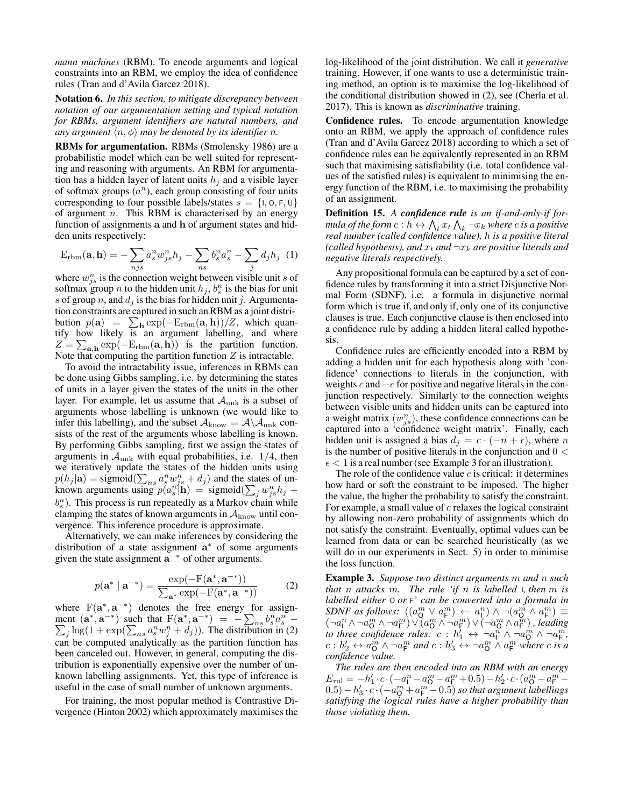*mann machines* (RBM). To encode arguments and logical constraints into an RBM, we employ the idea of confidence rules [\(Tran and d'Avila Garcez 2018\)](#page-10-2).

Notation 6. *In this section, to mitigate discrepancy between notation of our argumentation setting and typical notation for RBMs, argument identifiers are natural numbers, and any argument*  $\langle n, \phi \rangle$  *may be denoted by its identifier n.* 

RBMs for argumentation. RBMs [\(Smolensky 1986\)](#page-10-4) are a probabilistic model which can be well suited for representing and reasoning with arguments. An RBM for argumentation has a hidden layer of latent units  $h_i$  and a visible layer of softmax groups  $(a^n)$ , each group consisting of four units corresponding to four possible labels/states  $s = \{1, 0, F, U\}$ of argument  $n$ . This RBM is characterised by an energy function of assignments a and h of argument states and hidden units respectively:

$$
E_{\text{rbm}}(\mathbf{a}, \mathbf{h}) = -\sum_{njs} a_s^n w_{js}^n h_j - \sum_{ns} b_s^n a_s^n - \sum_j d_j h_j \tag{1}
$$

where  $w_{j_s}^n$  is the connection weight between visible unit s of softmax group *n* to the hidden unit  $h_j$ ,  $b_s^n$  is the bias for unit s of group n, and  $d_i$  is the bias for hidden unit j. Argumentation constraints are captured in such an RBM as a joint distribution  $p(\mathbf{a}) = \sum_{\mathbf{h}} \exp(-E_{\text{rbm}}(\mathbf{a}, \mathbf{h})) / Z$ , which quantify how likely is an argument labelling, and where  $Z = \sum_{\mathbf{a},\mathbf{h}} \exp(-E_{\text{rbm}}(\mathbf{a}, \mathbf{h}))$  is the partition function. Note that computing the partition function  $Z$  is intractable.

To avoid the intractability issue, inferences in RBMs can be done using Gibbs sampling, i.e. by determining the states of units in a layer given the states of the units in the other layer. For example, let us assume that  $A<sub>unk</sub>$  is a subset of arguments whose labelling is unknown (we would like to infer this labelling), and the subset  $A_{\text{know}} = A \backslash A_{\text{unk}}$  consists of the rest of the arguments whose labelling is known. By performing Gibbs sampling, first we assign the states of arguments in  $A_{unk}$  with equal probabilities, i.e.  $1/4$ , then we iteratively update the states of the hidden units using  $p(h_j | \mathbf{a}) = \text{sigmoid}(\sum_{n} s a_j^m w_{j}^n + d_j)$  and the states of unknown arguments using  $p(a_s^n|\mathbf{h}) = \text{sigmoid}(\sum_j w_{js}^n h_j +$  $b_s^n$ ). This process is run repeatedly as a Markov chain while clamping the states of known arguments in  $A_{\text{know}}$  until convergence. This inference procedure is approximate.

<span id="page-4-0"></span>Alternatively, we can make inferences by considering the distribution of a state assignment a<sup>\*</sup> of some arguments given the state assignment  $a^{-*}$  of other arguments.

$$
p(\mathbf{a}^* \mid \mathbf{a}^{-*}) = \frac{\exp(-\mathbf{F}(\mathbf{a}^*, \mathbf{a}^{-*}))}{\sum_{\mathbf{a}^*} \exp(-\mathbf{F}(\mathbf{a}^*, \mathbf{a}^{-*}))}
$$
(2)

where  $F(\mathbf{a}^*, \mathbf{a}^{-*})$  denotes the free energy for assignment  $(\mathbf{a}^*, \mathbf{a}^{-*})$  such that  $F(\mathbf{a}^*, \mathbf{a}^{-*}) = -\sum_{ns} b_s^n a_s^n - \sum_j \log(1 + \exp(\sum_{ns} a_s^n w_j^n + d_j)).$  The distribution in [\(2\)](#page-4-0) can be computed analytically as the partition function has been canceled out. However, in general, computing the distribution is exponentially expensive over the number of unknown labelling assignments. Yet, this type of inference is useful in the case of small number of unknown arguments.

For training, the most popular method is Contrastive Divergence [\(Hinton 2002\)](#page-9-12) which approximately maximises the

log-likelihood of the joint distribution. We call it *generative* training. However, if one wants to use a deterministic training method, an option is to maximise the log-likelihood of the conditional distribution showed in [\(2\)](#page-4-0), see [\(Cherla et al.](#page-9-13) [2017\)](#page-9-13). This is known as *discriminative* training.

Confidence rules. To encode argumentation knowledge onto an RBM, we apply the approach of confidence rules [\(Tran and d'Avila Garcez 2018\)](#page-10-2) according to which a set of confidence rules can be equivalently represented in an RBM such that maximising satisfiability (i.e. total confidence values of the satisfied rules) is equivalent to minimising the energy function of the RBM, i.e. to maximising the probability of an assignment.

Definition 15. *A confidence rule is an if-and-only-if for*mula of the form  $c:h\leftrightarrow\bigwedge_t x_t\bigwedge_k \neg x_k$  where  $c$  is a positive *real number (called confidence value),* h *is a positive literal (called hypothesis), and*  $x_t$  *and*  $\neg x_k$  *are positive literals and negative literals respectively.*

Any propositional formula can be captured by a set of confidence rules by transforming it into a strict Disjunctive Normal Form (SDNF), i.e. a formula in disjunctive normal form which is true if, and only if, only one of its conjunctive clauses is true. Each conjunctive clause is then enclosed into a confidence rule by adding a hidden literal called hypothesis.

Confidence rules are efficiently encoded into a RBM by adding a hidden unit for each hypothesis along with 'confidence' connections to literals in the conjunction, with weights  $c$  and  $-c$  for positive and negative literals in the conjunction respectively. Similarly to the connection weights between visible units and hidden units can be captured into a weight matrix  $(w_{js}^n)$ , these confidence connections can be captured into a 'confidence weight matrix'. Finally, each hidden unit is assigned a bias  $d_j = c \cdot (-n + \epsilon)$ , where n is the number of positive literals in the conjunction and  $0 <$  $\epsilon$  < 1 is a real number (see Example [3](#page-5-0) for an illustration).

The role of the confidence value  $c$  is critical: it determines how hard or soft the constraint to be imposed. The higher the value, the higher the probability to satisfy the constraint. For example, a small value of  $c$  relaxes the logical constraint by allowing non-zero probability of assignments which do not satisfy the constraint. Eventually, optimal values can be learned from data or can be searched heuristically (as we will do in our experiments in Sect. [5\)](#page-6-0) in order to minimise the loss function.

<span id="page-4-1"></span>Example 3. *Suppose two distinct arguments* m *and* n *such that* n *attacks* m*. The rule 'if* n *is labelled* I*, then* m *is labelled either* O *or* F*' can be converted into a formula in SDNF as follows:*  $((a_0^m \lor a_F^m) \leftarrow a_1^n) \land \neg(a_0^m \land a_F^m) \equiv$  $(\neg a_1^n \wedge \neg a_0^m \wedge \neg a_F^m) \vee (a_0^m \wedge \neg a_F^m) \vee (\neg a_0^m \wedge a_F^m)$ , leading to three confidence rules:  $c : h'_1 \leftrightarrow \neg a_1^m \wedge \neg a_0^m \wedge \neg a_1^m$ ,  $c: h'_2 \leftrightarrow a_0^m \wedge \neg a_F^m$  and  $c: h'_3 \leftrightarrow \neg a_0^m \wedge a_F^m$  where c is a *confidence value.*

*The rules are then encoded into an RBM with an energy*  $E_{\text{rul}} = -h'_1 \cdot c \cdot (-a_1^n - a_0^m - a_\text{F}^m + 0.5) - h'_2 \cdot c \cdot (a_0^m - a_\text{F}^m (0.5) - h'_3 \cdot c \cdot (-a_0^m + a_\text{F}^m - 0.5)$  *so that argument labellings satisfying the logical rules have a higher probability than those violating them.*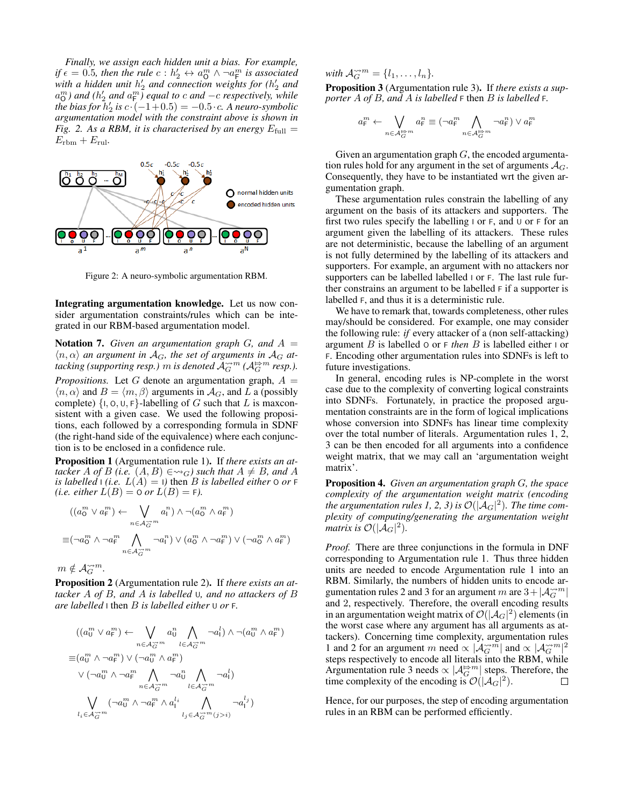*Finally, we assign each hidden unit a bias. For example, if*  $\epsilon = 0.5$ , *then the rule*  $c : h_2' \leftrightarrow a_0^m \wedge \neg a_{\text{F}}^m$  *is associated* with a hidden unit  $h'_2$  and connection weights for ( $h'_2$  and  $a_0^m$ ) and  $(h'_2$  and  $a_F^m$ ) equal to  $c$  and  $-c$  respectively, while *the bias for*  $h_2'$  *is*  $c \cdot (-1+0.5) = -0.5 \cdot c$ *. A neuro-symbolic argumentation model with the constraint above is shown in Fig.* [2.](#page-5-0) As a RBM, it is characterised by an energy  $E_{\text{full}} =$  $E_{\text{rbm}} + E_{\text{rul}}.$ 

<span id="page-5-0"></span>

Figure 2: A neuro-symbolic argumentation RBM.

Integrating argumentation knowledge. Let us now consider argumentation constraints/rules which can be integrated in our RBM-based argumentation model.

**Notation 7.** Given an argumentation graph G, and  $A =$  $\langle n, \alpha \rangle$  *an argument in*  $\mathcal{A}_G$ *, the set of arguments in*  $\mathcal{A}_G$  *attacking (supporting resp.)* m *is denoted*  $\mathcal{A}_{G}^{\sim m}$  ( $\mathcal{A}_{G}^{\Rightarrow m}$  resp.). *Propositions.* Let G denote an argumentation graph,  $A =$  $\langle n, \alpha \rangle$  and  $B = \langle m, \beta \rangle$  arguments in  $\mathcal{A}_G$ , and L a (possibly complete)  $\{1, 0, U, F\}$ -labelling of G such that L is maxconsistent with a given case. We used the following propositions, each followed by a corresponding formula in SDNF (the right-hand side of the equivalence) where each conjunction is to be enclosed in a confidence rule.

<span id="page-5-1"></span>Proposition 1 (Argumentation rule 1). If *there exists an attacker* A *of* B (*i.e.*  $(A, B) \in \leadsto_G$ ) *such that*  $A \neq B$ *, and* A *is labelled*  $\iota$  *(i.e.*  $L(A) = \iota$ *)* then *B is labelled either*  $\circ$  *or*  $\iota$ *(i.e. either*  $L(B) = O$  *or*  $L(B) = F$ *).* 

$$
((a_0^m \lor a_\mathsf{F}^m) \leftarrow \bigvee_{n \in \mathcal{A}_{\widetilde{G}}^{\rightarrow m}} a_\mathsf{I}^n) \land \neg(a_0^m \land a_\mathsf{F}^m)
$$
  

$$
\equiv (\neg a_0^m \land \neg a_\mathsf{F}^m \bigwedge_{n \in \mathcal{A}_{\widetilde{G}}^{\rightarrow m}} \neg a_\mathsf{I}^n) \lor (a_0^m \land \neg a_\mathsf{F}^m) \lor (\neg a_0^m \land a_\mathsf{F}^m)
$$

 $m \notin \mathcal{A}_G^{\sim m}$ .

<span id="page-5-2"></span>Proposition 2 (Argumentation rule 2). If *there exists an attacker* A *of* B*, and* A *is labelled* U*, and no attackers of* B *are labelled* I then B *is labelled either* U *or* F*.*

$$
((a_0^m \lor a_F^m) \leftarrow \bigvee_{n \in \mathcal{A}_G^{\rightarrow m}} a_0^n \bigwedge_{l \in \mathcal{A}_G^{\rightarrow m}} \neg a_l^l) \land \neg(a_0^m \land a_F^m)
$$
  
\n
$$
\equiv (a_0^m \land \neg a_F^m) \lor (\neg a_0^m \land a_F^m)
$$
  
\n
$$
\lor (\neg a_0^m \land \neg a_F^m \bigwedge_{n \in \mathcal{A}_G^{\rightarrow m}} \neg a_0^n \bigwedge_{l \in \mathcal{A}_G^{\rightarrow m}} \neg a_l^l)
$$
  
\n
$$
\bigvee_{l_i \in \mathcal{A}_G^{\rightarrow m}} (\neg a_0^m \land \neg a_F^m \land a_1^{l_i} \bigwedge_{l_j \in \mathcal{A}_G^{\rightarrow m}} \neg a_1^{l_j})
$$

with  $\mathcal{A}_{G}^{\sim m} = \{l_1, \ldots, l_n\}.$ 

<span id="page-5-3"></span>Proposition 3 (Argumentation rule 3). If *there exists a supporter* A *of* B*, and* A *is labelled* F then B *is labelled* F*.*

$$
a_{\mathsf{F}}^m \leftarrow \bigvee_{n \in \mathcal{A}_{G}^{\rightrightarrows m}} a_{\mathsf{F}}^n \equiv (\neg a_{\mathsf{F}}^m \bigwedge_{n \in \mathcal{A}_{G}^{\rightrightarrows m}} \neg a_{\mathsf{F}}^n) \lor a_{\mathsf{F}}^m
$$

Given an argumentation graph  $G$ , the encoded argumentation rules hold for any argument in the set of arguments  $A_G$ . Consequently, they have to be instantiated wrt the given argumentation graph.

These argumentation rules constrain the labelling of any argument on the basis of its attackers and supporters. The first two rules specify the labelling  $\vert$  or  $F$ , and  $\cup$  or  $F$  for an argument given the labelling of its attackers. These rules are not deterministic, because the labelling of an argument is not fully determined by the labelling of its attackers and supporters. For example, an argument with no attackers nor supporters can be labelled labelled I or F. The last rule further constrains an argument to be labelled F if a supporter is labelled F, and thus it is a deterministic rule.

We have to remark that, towards completeness, other rules may/should be considered. For example, one may consider the following rule: *if* every attacker of a (non self-attacking) argument B is labelled O or F *then* B is labelled either I or F. Encoding other argumentation rules into SDNFs is left to future investigations.

In general, encoding rules is NP-complete in the worst case due to the complexity of converting logical constraints into SDNFs. Fortunately, in practice the proposed argumentation constraints are in the form of logical implications whose conversion into SDNFs has linear time complexity over the total number of literals. Argumentation rules [1,](#page-5-1) [2,](#page-5-2) [3](#page-5-3) can be then encoded for all arguments into a confidence weight matrix, that we may call an 'argumentation weight matrix'.

Proposition 4. *Given an argumentation graph* G*, the space complexity of the argumentation weight matrix (encoding* the argumentation rules [1,](#page-5-1) [2,](#page-5-2) [3\)](#page-5-3) is  $\mathcal{O}(|\mathcal{A}_G|^2)$ . The time com*plexity of computing/generating the argumentation weight matrix is*  $\mathcal{O}(|\mathcal{A}_G|^2)$ .

*Proof.* There are three conjunctions in the formula in DNF corresponding to Argumentation rule 1. Thus three hidden units are needed to encode Argumentation rule 1 into an RBM. Similarly, the numbers of hidden units to encode ar-gumentation rules [2](#page-5-2) and [3](#page-5-3) for an argument m are  $3 + |A_G^{\sim m}|$ and 2, respectively. Therefore, the overall encoding results in an argumentation weight matrix of  $\mathcal{O}(|\mathcal{A}_G|^2)$  elements (in the worst case where any argument has all arguments as attackers). Concerning time complexity, argumentation rules [1](#page-5-1) and [2](#page-5-2) for an argument m need  $\propto |\mathcal{A}_G^{\sim m}|$  and  $\propto |\mathcal{A}_G^{\sim m}|^2$ steps respectively to encode all literals into the RBM, while Argumentation rule [3](#page-5-3) needs  $\propto |\mathcal{A}_G^{\Rrightarrow m}|$  steps. Therefore, the time complexity of the encoding is  $\mathcal{O}(|\mathcal{A}_G|^2)$ . П

Hence, for our purposes, the step of encoding argumentation rules in an RBM can be performed efficiently.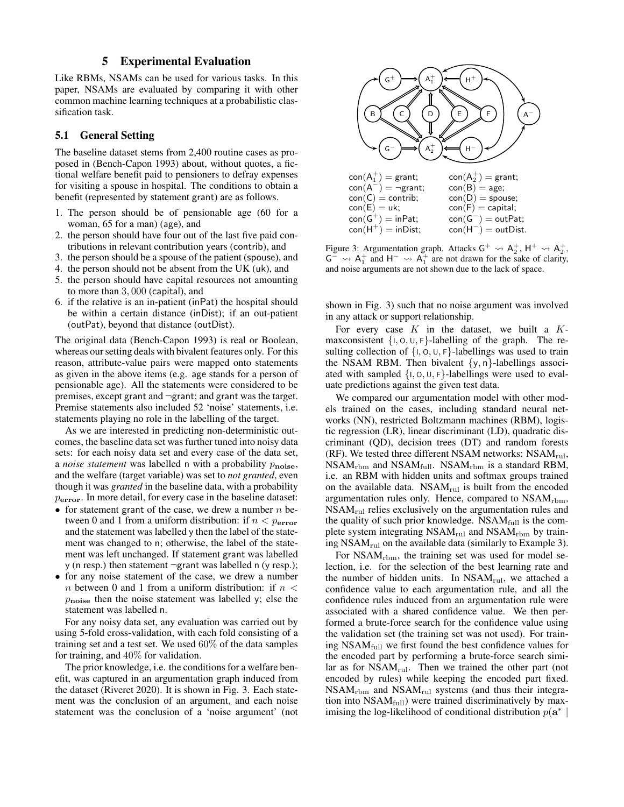### 5 Experimental Evaluation

<span id="page-6-0"></span>Like RBMs, NSAMs can be used for various tasks. In this paper, NSAMs are evaluated by comparing it with other common machine learning techniques at a probabilistic classification task.

### 5.1 General Setting

The baseline dataset stems from 2,400 routine cases as proposed in [\(Bench-Capon 1993\)](#page-9-14) about, without quotes, a fictional welfare benefit paid to pensioners to defray expenses for visiting a spouse in hospital. The conditions to obtain a benefit (represented by statement grant) are as follows.

- 1. The person should be of pensionable age (60 for a woman, 65 for a man) (age), and
- 2. the person should have four out of the last five paid contributions in relevant contribution years (contrib), and
- 3. the person should be a spouse of the patient (spouse), and
- 4. the person should not be absent from the UK (uk), and
- 5. the person should have capital resources not amounting to more than 3, 000 (capital), and
- 6. if the relative is an in-patient (inPat) the hospital should be within a certain distance (inDist); if an out-patient (outPat), beyond that distance (outDist).

The original data [\(Bench-Capon 1993\)](#page-9-14) is real or Boolean, whereas our setting deals with bivalent features only. For this reason, attribute-value pairs were mapped onto statements as given in the above items (e.g. age stands for a person of pensionable age). All the statements were considered to be premises, except grant and ¬grant; and grant was the target. Premise statements also included 52 'noise' statements, i.e. statements playing no role in the labelling of the target.

As we are interested in predicting non-deterministic outcomes, the baseline data set was further tuned into noisy data sets: for each noisy data set and every case of the data set, a *noise statement* was labelled n with a probability  $p_{noise}$ , and the welfare (target variable) was set to *not granted*, even though it was *granted* in the baseline data, with a probability perror. In more detail, for every case in the baseline dataset:

- for statement grant of the case, we drew a number  $n$  between 0 and 1 from a uniform distribution: if  $n < p_{\text{error}}$ and the statement was labelled y then the label of the statement was changed to n; otherwise, the label of the statement was left unchanged. If statement grant was labelled y (n resp.) then statement ¬grant was labelled n (y resp.);
- for any noise statement of the case, we drew a number  $n$  between 0 and 1 from a uniform distribution: if  $n <$  $p_{noise}$  then the noise statement was labelled y; else the statement was labelled n.

For any noisy data set, any evaluation was carried out by using 5-fold cross-validation, with each fold consisting of a training set and a test set. We used 60% of the data samples for training, and 40% for validation.

The prior knowledge, i.e. the conditions for a welfare benefit, was captured in an argumentation graph induced from the dataset [\(Riveret 2020\)](#page-10-3). It is shown in Fig. [3.](#page-6-1) Each statement was the conclusion of an argument, and each noise statement was the conclusion of a 'noise argument' (not

<span id="page-6-1"></span>

Figure 3: Argumentation graph. Attacks  $G^+ \leadsto A_2^+$ ,  $H^+ \leadsto A_2^+$ ,  $G^{-} \rightarrow A_{1}^{+}$  and  $H^{-} \rightarrow A_{1}^{+}$  are not drawn for the sake of clarity, and noise arguments are not shown due to the lack of space.

shown in Fig. [3\)](#page-6-1) such that no noise argument was involved in any attack or support relationship.

For every case  $K$  in the dataset, we built a  $K$ maxconsistent  $\{1, 0, 0, F\}$ -labelling of the graph. The resulting collection of  $\{I, O, U, F\}$ -labellings was used to train the NSAM RBM. Then bivalent  $\{y, n\}$ -labellings associated with sampled  $\{1, 0, 0, F\}$ -labellings were used to evaluate predictions against the given test data.

We compared our argumentation model with other models trained on the cases, including standard neural networks (NN), restricted Boltzmann machines (RBM), logistic regression (LR), linear discriminant (LD), quadratic discriminant (QD), decision trees (DT) and random forests (RF). We tested three different NSAM networks:  $NSAM_{\text{rul}}$ ,  $NSAM_{rbm}$  and  $NSAM_{full}$ .  $NSAM_{rbm}$  is a standard RBM, i.e. an RBM with hidden units and softmax groups trained on the available data.  $NSAM_{\text{rul}}$  is built from the encoded argumentation rules only. Hence, compared to NSAM<sub>rbm</sub>,  $NSAM_{\text{rul}}$  relies exclusively on the argumentation rules and the quality of such prior knowledge.  $NSAM_{full}$  is the complete system integrating  $NSAM_{\text{rul}}$  and  $NSAM_{\text{rbm}}$  by training  $NSAM_{\text{rul}}$  on the available data (similarly to Example [3\)](#page-4-1).

For  $NSAM_{rbm}$ , the training set was used for model selection, i.e. for the selection of the best learning rate and the number of hidden units. In  $NSAM_{\text{rul}}$ , we attached a confidence value to each argumentation rule, and all the confidence rules induced from an argumentation rule were associated with a shared confidence value. We then performed a brute-force search for the confidence value using the validation set (the training set was not used). For training  $NSAM_{\text{full}}$  we first found the best confidence values for the encoded part by performing a brute-force search similar as for  $NSAM_{\text{rul}}$ . Then we trained the other part (not encoded by rules) while keeping the encoded part fixed.  $NSAM<sub>rbm</sub>$  and  $NSAM<sub>rul</sub>$  systems (and thus their integration into  $NSAM_{full}$ ) were trained discriminatively by maximising the log-likelihood of conditional distribution  $p(\mathbf{a}^*)$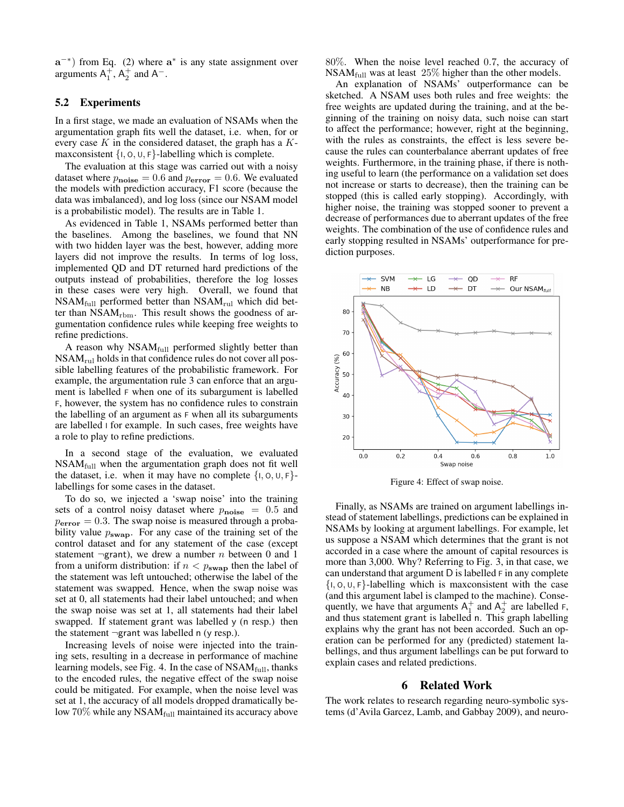$a^{-*}$ ) from Eq. [\(2\)](#page-4-0) where  $a^*$  is any state assignment over arguments  $A_1^+$ ,  $A_2^+$  and  $A^-$ .

### 5.2 Experiments

In a first stage, we made an evaluation of NSAMs when the argumentation graph fits well the dataset, i.e. when, for or every case  $K$  in the considered dataset, the graph has a  $K$ maxconsistent  $\{1, 0, 0, F\}$ -labelling which is complete.

The evaluation at this stage was carried out with a noisy dataset where  $p_{\text{noise}} = 0.6$  and  $p_{\text{error}} = 0.6$ . We evaluated the models with prediction accuracy, F1 score (because the data was imbalanced), and log loss (since our NSAM model is a probabilistic model). The results are in Table [1.](#page-8-0)

As evidenced in Table [1,](#page-8-0) NSAMs performed better than the baselines. Among the baselines, we found that NN with two hidden layer was the best, however, adding more layers did not improve the results. In terms of log loss, implemented QD and DT returned hard predictions of the outputs instead of probabilities, therefore the log losses in these cases were very high. Overall, we found that NSAMfull performed better than NSAMrul which did better than  $NSAM$ <sub>rbm</sub>. This result shows the goodness of argumentation confidence rules while keeping free weights to refine predictions.

A reason why  $NSAM_{full}$  performed slightly better than NSAMrul holds in that confidence rules do not cover all possible labelling features of the probabilistic framework. For example, the argumentation rule 3 can enforce that an argument is labelled F when one of its subargument is labelled F, however, the system has no confidence rules to constrain the labelling of an argument as F when all its subarguments are labelled  $\vert$  for example. In such cases, free weights have a role to play to refine predictions.

In a second stage of the evaluation, we evaluated  $NSAM_{full}$  when the argumentation graph does not fit well the dataset, i.e. when it may have no complete  $\{1, 0, U, F\}$ labellings for some cases in the dataset.

To do so, we injected a 'swap noise' into the training sets of a control noisy dataset where  $p_{\text{noise}} = 0.5$  and  $p_{\text{error}} = 0.3$ . The swap noise is measured through a probability value  $p_{swap}$ . For any case of the training set of the control dataset and for any statement of the case (except statement  $\neg$ grant), we drew a number *n* between 0 and 1 from a uniform distribution: if  $n < p_{swap}$  then the label of the statement was left untouched; otherwise the label of the statement was swapped. Hence, when the swap noise was set at 0, all statements had their label untouched; and when the swap noise was set at 1, all statements had their label swapped. If statement grant was labelled y (n resp.) then the statement ¬grant was labelled n (y resp.).

Increasing levels of noise were injected into the training sets, resulting in a decrease in performance of machine learning models, see Fig. [4.](#page-7-1) In the case of  $NSAM_{full}$ , thanks to the encoded rules, the negative effect of the swap noise could be mitigated. For example, when the noise level was set at 1, the accuracy of all models dropped dramatically below  $70\%$  while any NSAM $_{\text{full}}$  maintained its accuracy above 80%. When the noise level reached 0.7, the accuracy of NSA $M_{\text{full}}$  was at least 25% higher than the other models.

An explanation of NSAMs' outperformance can be sketched. A NSAM uses both rules and free weights: the free weights are updated during the training, and at the beginning of the training on noisy data, such noise can start to affect the performance; however, right at the beginning, with the rules as constraints, the effect is less severe because the rules can counterbalance aberrant updates of free weights. Furthermore, in the training phase, if there is nothing useful to learn (the performance on a validation set does not increase or starts to decrease), then the training can be stopped (this is called early stopping). Accordingly, with higher noise, the training was stopped sooner to prevent a decrease of performances due to aberrant updates of the free weights. The combination of the use of confidence rules and early stopping resulted in NSAMs' outperformance for prediction purposes.

<span id="page-7-1"></span>

Figure 4: Effect of swap noise.

Finally, as NSAMs are trained on argument labellings instead of statement labellings, predictions can be explained in NSAMs by looking at argument labellings. For example, let us suppose a NSAM which determines that the grant is not accorded in a case where the amount of capital resources is more than 3,000. Why? Referring to Fig. 3, in that case, we can understand that argument D is labelled F in any complete  $\{1, 0, 0, F\}$ -labelling which is maxconsistent with the case (and this argument label is clamped to the machine). Consequently, we have that arguments  $A_1^+$  and  $A_2^+$  are labelled F, and thus statement grant is labelled n. This graph labelling explains why the grant has not been accorded. Such an operation can be performed for any (predicted) statement labellings, and thus argument labellings can be put forward to explain cases and related predictions.

#### 6 Related Work

<span id="page-7-0"></span>The work relates to research regarding neuro-symbolic systems [\(d'Avila Garcez, Lamb, and Gabbay 2009\)](#page-9-15), and neuro-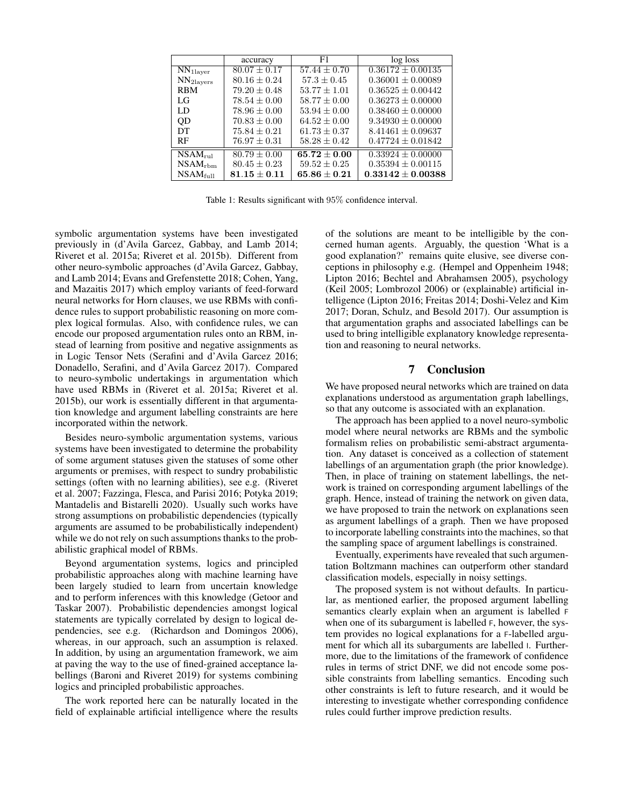<span id="page-8-0"></span>

|                                        | accuracy         | F1               | log loss              |
|----------------------------------------|------------------|------------------|-----------------------|
| $\overline{\text{NN}}_{\text{1layer}}$ | $80.07 \pm 0.17$ | $57.44 + 0.70$   | $0.36172 \pm 0.00135$ |
| NN <sub>2</sub> layers                 | $80.16 \pm 0.24$ | $57.3 \pm 0.45$  | $0.36001 \pm 0.00089$ |
| <b>RBM</b>                             | $79.20 \pm 0.48$ | $53.77 \pm 1.01$ | $0.36525 \pm 0.00442$ |
| LG                                     | $78.54 \pm 0.00$ | $58.77 \pm 0.00$ | $0.36273 \pm 0.00000$ |
| LD                                     | $78.96 \pm 0.00$ | $53.94 \pm 0.00$ | $0.38460 \pm 0.00000$ |
| QD                                     | $70.83 \pm 0.00$ | $64.52 + 0.00$   | $9.34930 \pm 0.00000$ |
| DТ                                     | $75.84 + 0.21$   | $61.73 + 0.37$   | $8.41461 \pm 0.09637$ |
| <b>RF</b>                              | $76.97 \pm 0.31$ | $58.28 \pm 0.42$ | $0.47724 \pm 0.01842$ |
| $\overline{\text{NSAM}}_{\text{rule}}$ | $80.79 \pm 0.00$ | $65.72 \pm 0.00$ | $0.33924 \pm 0.00000$ |
| $NSAM_{rbm}$                           | $80.45 \pm 0.23$ | $59.52 \pm 0.25$ | $0.35394 \pm 0.00115$ |
| $NSAM_{\text{full}}$                   | $81.15 \pm 0.11$ | $65.86 \pm 0.21$ | $0.33142 \pm 0.00388$ |

Table 1: Results significant with 95% confidence interval.

symbolic argumentation systems have been investigated previously in [\(d'Avila Garcez, Gabbay, and Lamb 2014;](#page-9-16) [Riveret et al. 2015a;](#page-10-5) [Riveret et al. 2015b\)](#page-10-6). Different from other neuro-symbolic approaches [\(d'Avila Garcez, Gabbay,](#page-9-16) [and Lamb 2014;](#page-9-16) [Evans and Grefenstette 2018;](#page-9-17) [Cohen, Yang,](#page-9-18) [and Mazaitis 2017\)](#page-9-18) which employ variants of feed-forward neural networks for Horn clauses, we use RBMs with confidence rules to support probabilistic reasoning on more complex logical formulas. Also, with confidence rules, we can encode our proposed argumentation rules onto an RBM, instead of learning from positive and negative assignments as in Logic Tensor Nets [\(Serafini and d'Avila Garcez 2016;](#page-10-7) [Donadello, Serafini, and d'Avila Garcez 2017\)](#page-9-19). Compared to neuro-symbolic undertakings in argumentation which have used RBMs in [\(Riveret et al. 2015a;](#page-10-5) [Riveret et al.](#page-10-6) [2015b\)](#page-10-6), our work is essentially different in that argumentation knowledge and argument labelling constraints are here incorporated within the network.

Besides neuro-symbolic argumentation systems, various systems have been investigated to determine the probability of some argument statuses given the statuses of some other arguments or premises, with respect to sundry probabilistic settings (often with no learning abilities), see e.g. [\(Riveret](#page-9-20) [et al. 2007;](#page-9-20) [Fazzinga, Flesca, and Parisi 2016;](#page-9-21) [Potyka 2019;](#page-9-22) [Mantadelis and Bistarelli 2020\)](#page-9-23). Usually such works have strong assumptions on probabilistic dependencies (typically arguments are assumed to be probabilistically independent) while we do not rely on such assumptions thanks to the probabilistic graphical model of RBMs.

Beyond argumentation systems, logics and principled probabilistic approaches along with machine learning have been largely studied to learn from uncertain knowledge and to perform inferences with this knowledge [\(Getoor and](#page-9-24) [Taskar 2007\)](#page-9-24). Probabilistic dependencies amongst logical statements are typically correlated by design to logical dependencies, see e.g. [\(Richardson and Domingos 2006\)](#page-9-25), whereas, in our approach, such an assumption is relaxed. In addition, by using an argumentation framework, we aim at paving the way to the use of fined-grained acceptance labellings [\(Baroni and Riveret 2019\)](#page-9-11) for systems combining logics and principled probabilistic approaches.

The work reported here can be naturally located in the field of explainable artificial intelligence where the results

of the solutions are meant to be intelligible by the concerned human agents. Arguably, the question 'What is a good explanation?' remains quite elusive, see diverse conceptions in philosophy e.g. [\(Hempel and Oppenheim 1948;](#page-9-26) [Lipton 2016;](#page-9-27) [Bechtel and Abrahamsen 2005\)](#page-9-28), psychology [\(Keil 2005;](#page-9-29) [Lombrozol 2006\)](#page-9-30) or (explainable) artificial intelligence [\(Lipton 2016;](#page-9-27) [Freitas 2014;](#page-9-31) [Doshi-Velez and Kim](#page-9-32) [2017;](#page-9-32) [Doran, Schulz, and Besold 2017\)](#page-9-33). Our assumption is that argumentation graphs and associated labellings can be used to bring intelligible explanatory knowledge representation and reasoning to neural networks.

## 7 Conclusion

We have proposed neural networks which are trained on data explanations understood as argumentation graph labellings, so that any outcome is associated with an explanation.

The approach has been applied to a novel neuro-symbolic model where neural networks are RBMs and the symbolic formalism relies on probabilistic semi-abstract argumentation. Any dataset is conceived as a collection of statement labellings of an argumentation graph (the prior knowledge). Then, in place of training on statement labellings, the network is trained on corresponding argument labellings of the graph. Hence, instead of training the network on given data, we have proposed to train the network on explanations seen as argument labellings of a graph. Then we have proposed to incorporate labelling constraints into the machines, so that the sampling space of argument labellings is constrained.

Eventually, experiments have revealed that such argumentation Boltzmann machines can outperform other standard classification models, especially in noisy settings.

The proposed system is not without defaults. In particular, as mentioned earlier, the proposed argument labelling semantics clearly explain when an argument is labelled F when one of its subargument is labelled F, however, the system provides no logical explanations for a F-labelled argument for which all its subarguments are labelled I. Furthermore, due to the limitations of the framework of confidence rules in terms of strict DNF, we did not encode some possible constraints from labelling semantics. Encoding such other constraints is left to future research, and it would be interesting to investigate whether corresponding confidence rules could further improve prediction results.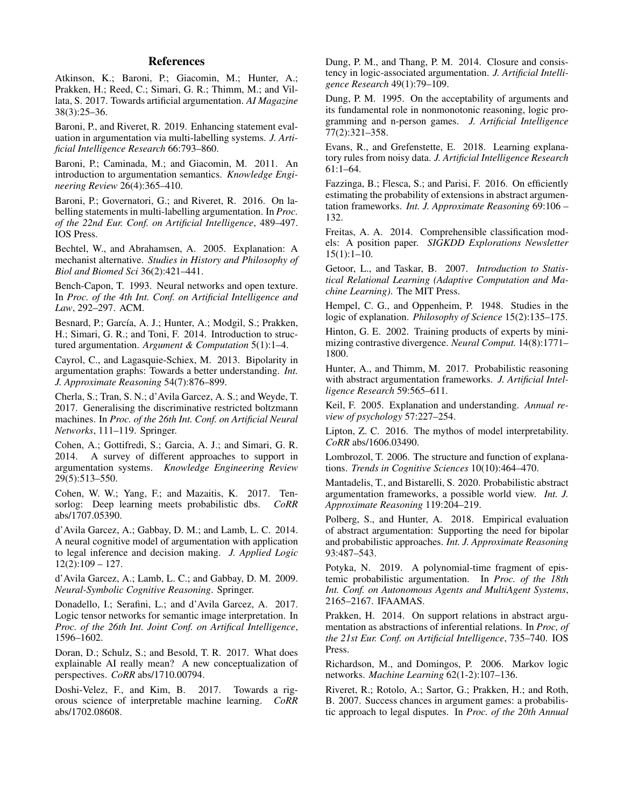### References

<span id="page-9-0"></span>Atkinson, K.; Baroni, P.; Giacomin, M.; Hunter, A.; Prakken, H.; Reed, C.; Simari, G. R.; Thimm, M.; and Villata, S. 2017. Towards artificial argumentation. *AI Magazine* 38(3):25–36.

<span id="page-9-11"></span>Baroni, P., and Riveret, R. 2019. Enhancing statement evaluation in argumentation via multi-labelling systems. *J. Artificial Intelligence Research* 66:793–860.

<span id="page-9-3"></span>Baroni, P.; Caminada, M.; and Giacomin, M. 2011. An introduction to argumentation semantics. *Knowledge Engineering Review* 26(4):365–410.

<span id="page-9-4"></span>Baroni, P.; Governatori, G.; and Riveret, R. 2016. On labelling statements in multi-labelling argumentation. In *Proc. of the 22nd Eur. Conf. on Artificial Intelligence*, 489–497. IOS Press.

<span id="page-9-28"></span>Bechtel, W., and Abrahamsen, A. 2005. Explanation: A mechanist alternative. *Studies in History and Philosophy of Biol and Biomed Sci* 36(2):421–441.

<span id="page-9-14"></span>Bench-Capon, T. 1993. Neural networks and open texture. In *Proc. of the 4th Int. Conf. on Artificial Intelligence and Law*, 292–297. ACM.

<span id="page-9-1"></span>Besnard, P.; García, A. J.; Hunter, A.; Modgil, S.; Prakken, H.; Simari, G. R.; and Toni, F. 2014. Introduction to structured argumentation. *Argument & Computation* 5(1):1–4.

<span id="page-9-6"></span>Cayrol, C., and Lagasquie-Schiex, M. 2013. Bipolarity in argumentation graphs: Towards a better understanding. *Int. J. Approximate Reasoning* 54(7):876–899.

<span id="page-9-13"></span>Cherla, S.; Tran, S. N.; d'Avila Garcez, A. S.; and Weyde, T. 2017. Generalising the discriminative restricted boltzmann machines. In *Proc. of the 26th Int. Conf. on Artificial Neural Networks*, 111–119. Springer.

<span id="page-9-9"></span>Cohen, A.; Gottifredi, S.; Garcia, A. J.; and Simari, G. R. 2014. A survey of different approaches to support in argumentation systems. *Knowledge Engineering Review* 29(5):513–550.

<span id="page-9-18"></span>Cohen, W. W.; Yang, F.; and Mazaitis, K. 2017. Tensorlog: Deep learning meets probabilistic dbs. *CoRR* abs/1707.05390.

<span id="page-9-16"></span>d'Avila Garcez, A.; Gabbay, D. M.; and Lamb, L. C. 2014. A neural cognitive model of argumentation with application to legal inference and decision making. *J. Applied Logic*  $12(2):109 - 127.$ 

<span id="page-9-15"></span>d'Avila Garcez, A.; Lamb, L. C.; and Gabbay, D. M. 2009. *Neural-Symbolic Cognitive Reasoning*. Springer.

<span id="page-9-19"></span>Donadello, I.; Serafini, L.; and d'Avila Garcez, A. 2017. Logic tensor networks for semantic image interpretation. In *Proc. of the 26th Int. Joint Conf. on Artifical Intelligence*, 1596–1602.

<span id="page-9-33"></span>Doran, D.; Schulz, S.; and Besold, T. R. 2017. What does explainable AI really mean? A new conceptualization of perspectives. *CoRR* abs/1710.00794.

<span id="page-9-32"></span>Doshi-Velez, F., and Kim, B. 2017. Towards a rigorous science of interpretable machine learning. *CoRR* abs/1702.08608.

<span id="page-9-7"></span>Dung, P. M., and Thang, P. M. 2014. Closure and consistency in logic-associated argumentation. *J. Artificial Intelligence Research* 49(1):79–109.

<span id="page-9-2"></span>Dung, P. M. 1995. On the acceptability of arguments and its fundamental role in nonmonotonic reasoning, logic programming and n-person games. *J. Artificial Intelligence* 77(2):321–358.

<span id="page-9-17"></span>Evans, R., and Grefenstette, E. 2018. Learning explanatory rules from noisy data. *J. Artificial Intelligence Research* 61:1–64.

<span id="page-9-21"></span>Fazzinga, B.; Flesca, S.; and Parisi, F. 2016. On efficiently estimating the probability of extensions in abstract argumentation frameworks. *Int. J. Approximate Reasoning* 69:106 – 132.

<span id="page-9-31"></span>Freitas, A. A. 2014. Comprehensible classification models: A position paper. *SIGKDD Explorations Newsletter* 15(1):1–10.

<span id="page-9-24"></span>Getoor, L., and Taskar, B. 2007. *Introduction to Statistical Relational Learning (Adaptive Computation and Machine Learning)*. The MIT Press.

<span id="page-9-26"></span>Hempel, C. G., and Oppenheim, P. 1948. Studies in the logic of explanation. *Philosophy of Science* 15(2):135–175.

<span id="page-9-12"></span>Hinton, G. E. 2002. Training products of experts by minimizing contrastive divergence. *Neural Comput.* 14(8):1771– 1800.

<span id="page-9-5"></span>Hunter, A., and Thimm, M. 2017. Probabilistic reasoning with abstract argumentation frameworks. *J. Artificial Intelligence Research* 59:565–611.

<span id="page-9-29"></span>Keil, F. 2005. Explanation and understanding. *Annual review of psychology* 57:227–254.

<span id="page-9-27"></span>Lipton, Z. C. 2016. The mythos of model interpretability. *CoRR* abs/1606.03490.

<span id="page-9-30"></span>Lombrozol, T. 2006. The structure and function of explanations. *Trends in Cognitive Sciences* 10(10):464–470.

<span id="page-9-23"></span>Mantadelis, T., and Bistarelli, S. 2020. Probabilistic abstract argumentation frameworks, a possible world view. *Int. J. Approximate Reasoning* 119:204–219.

<span id="page-9-10"></span>Polberg, S., and Hunter, A. 2018. Empirical evaluation of abstract argumentation: Supporting the need for bipolar and probabilistic approaches. *Int. J. Approximate Reasoning* 93:487–543.

<span id="page-9-22"></span>Potyka, N. 2019. A polynomial-time fragment of epistemic probabilistic argumentation. In *Proc. of the 18th Int. Conf. on Autonomous Agents and MultiAgent Systems*, 2165–2167. IFAAMAS.

<span id="page-9-8"></span>Prakken, H. 2014. On support relations in abstract argumentation as abstractions of inferential relations. In *Proc, of the 21st Eur. Conf. on Artificial Intelligence*, 735–740. IOS Press.

<span id="page-9-25"></span>Richardson, M., and Domingos, P. 2006. Markov logic networks. *Machine Learning* 62(1-2):107–136.

<span id="page-9-20"></span>Riveret, R.; Rotolo, A.; Sartor, G.; Prakken, H.; and Roth, B. 2007. Success chances in argument games: a probabilistic approach to legal disputes. In *Proc. of the 20th Annual*